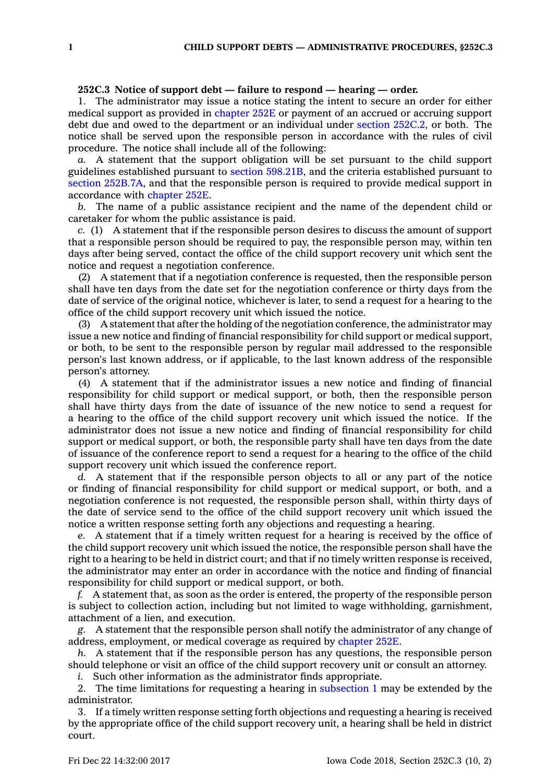## **252C.3 Notice of support debt — failure to respond — hearing — order.**

1. The administrator may issue <sup>a</sup> notice stating the intent to secure an order for either medical support as provided in [chapter](https://www.legis.iowa.gov/docs/code//252E.pdf) 252E or payment of an accrued or accruing support debt due and owed to the department or an individual under section [252C.2](https://www.legis.iowa.gov/docs/code/252C.2.pdf), or both. The notice shall be served upon the responsible person in accordance with the rules of civil procedure. The notice shall include all of the following:

*a.* A statement that the support obligation will be set pursuant to the child support guidelines established pursuant to section [598.21B](https://www.legis.iowa.gov/docs/code/598.21B.pdf), and the criteria established pursuant to section [252B.7A](https://www.legis.iowa.gov/docs/code/252B.7A.pdf), and that the responsible person is required to provide medical support in accordance with [chapter](https://www.legis.iowa.gov/docs/code//252E.pdf) 252E.

*b.* The name of <sup>a</sup> public assistance recipient and the name of the dependent child or caretaker for whom the public assistance is paid.

*c.* (1) A statement that if the responsible person desires to discuss the amount of support that <sup>a</sup> responsible person should be required to pay, the responsible person may, within ten days after being served, contact the office of the child support recovery unit which sent the notice and request <sup>a</sup> negotiation conference.

(2) A statement that if <sup>a</sup> negotiation conference is requested, then the responsible person shall have ten days from the date set for the negotiation conference or thirty days from the date of service of the original notice, whichever is later, to send <sup>a</sup> request for <sup>a</sup> hearing to the office of the child support recovery unit which issued the notice.

(3) A statement that after the holding of the negotiation conference, the administrator may issue <sup>a</sup> new notice and finding of financial responsibility for child support or medical support, or both, to be sent to the responsible person by regular mail addressed to the responsible person's last known address, or if applicable, to the last known address of the responsible person's attorney.

(4) A statement that if the administrator issues <sup>a</sup> new notice and finding of financial responsibility for child support or medical support, or both, then the responsible person shall have thirty days from the date of issuance of the new notice to send <sup>a</sup> request for <sup>a</sup> hearing to the office of the child support recovery unit which issued the notice. If the administrator does not issue <sup>a</sup> new notice and finding of financial responsibility for child support or medical support, or both, the responsible party shall have ten days from the date of issuance of the conference report to send <sup>a</sup> request for <sup>a</sup> hearing to the office of the child support recovery unit which issued the conference report.

*d.* A statement that if the responsible person objects to all or any part of the notice or finding of financial responsibility for child support or medical support, or both, and <sup>a</sup> negotiation conference is not requested, the responsible person shall, within thirty days of the date of service send to the office of the child support recovery unit which issued the notice <sup>a</sup> written response setting forth any objections and requesting <sup>a</sup> hearing.

*e.* A statement that if <sup>a</sup> timely written request for <sup>a</sup> hearing is received by the office of the child support recovery unit which issued the notice, the responsible person shall have the right to <sup>a</sup> hearing to be held in district court; and that if no timely written response is received, the administrator may enter an order in accordance with the notice and finding of financial responsibility for child support or medical support, or both.

*f.* A statement that, as soon as the order is entered, the property of the responsible person is subject to collection action, including but not limited to wage withholding, garnishment, attachment of <sup>a</sup> lien, and execution.

*g.* A statement that the responsible person shall notify the administrator of any change of address, employment, or medical coverage as required by [chapter](https://www.legis.iowa.gov/docs/code//252E.pdf) 252E.

*h.* A statement that if the responsible person has any questions, the responsible person should telephone or visit an office of the child support recovery unit or consult an attorney.

*i.* Such other information as the administrator finds appropriate.

2. The time limitations for requesting <sup>a</sup> hearing in [subsection](https://www.legis.iowa.gov/docs/code/252C.3.pdf) 1 may be extended by the administrator.

3. If <sup>a</sup> timely written response setting forth objections and requesting <sup>a</sup> hearing is received by the appropriate office of the child support recovery unit, <sup>a</sup> hearing shall be held in district court.